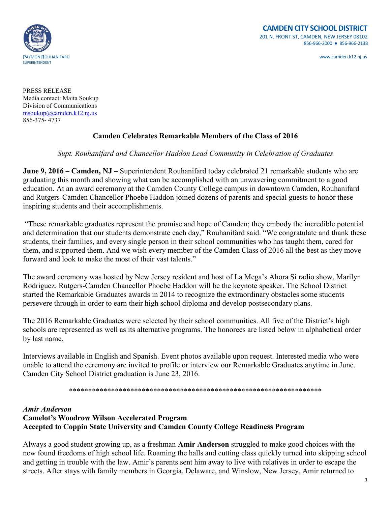

PRESS RELEASE Media contact: Maita Soukup Division of Communications [msoukup@camden.k12.nj.us](mailto:msoukup@camden.k12.nj.us) 856-375- 4737

## **Camden Celebrates Remarkable Members of the Class of 2016**

## *Supt. Rouhanifard and Chancellor Haddon Lead Community in Celebration of Graduates*

**June 9, 2016 – Camden, NJ –** Superintendent Rouhanifard today celebrated 21 remarkable students who are graduating this month and showing what can be accomplished with an unwavering commitment to a good education. At an award ceremony at the Camden County College campus in downtown Camden, Rouhanifard and Rutgers-Camden Chancellor Phoebe Haddon joined dozens of parents and special guests to honor these inspiring students and their accomplishments.

"These remarkable graduates represent the promise and hope of Camden; they embody the incredible potential and determination that our students demonstrate each day," Rouhanifard said. "We congratulate and thank these students, their families, and every single person in their school communities who has taught them, cared for them, and supported them. And we wish every member of the Camden Class of 2016 all the best as they move forward and look to make the most of their vast talents."

The award ceremony was hosted by New Jersey resident and host of La Mega's Ahora Si radio show, Marilyn Rodriguez. Rutgers-Camden Chancellor Phoebe Haddon will be the keynote speaker. The School District started the Remarkable Graduates awards in 2014 to recognize the extraordinary obstacles some students persevere through in order to earn their high school diploma and develop postsecondary plans.

The 2016 Remarkable Graduates were selected by their school communities. All five of the District's high schools are represented as well as its alternative programs. The honorees are listed below in alphabetical order by last name.

Interviews available in English and Spanish. Event photos available upon request. Interested media who were unable to attend the ceremony are invited to profile or interview our Remarkable Graduates anytime in June. Camden City School District graduation is June 23, 2016.

\*\*\*\*\*\*\*\*\*\*\*\*\*\*\*\*\*\*\*\*\*\*\*\*\*\*\*\*\*\*\*\*\*\*\*\*\*\*\*\*\*\*\*\*\*\*\*\*\*\*\*\*\*\*\*\*\*\*\*\*\*\*\*\*\*\*

#### *Amir Anderson*

# **Camelot's Woodrow Wilson Accelerated Program Accepted to Coppin State University and Camden County College Readiness Program**

Always a good student growing up, as a freshman **Amir Anderson** struggled to make good choices with the new found freedoms of high school life. Roaming the halls and cutting class quickly turned into skipping school and getting in trouble with the law. Amir's parents sent him away to live with relatives in order to escape the streets. After stays with family members in Georgia, Delaware, and Winslow, New Jersey, Amir returned to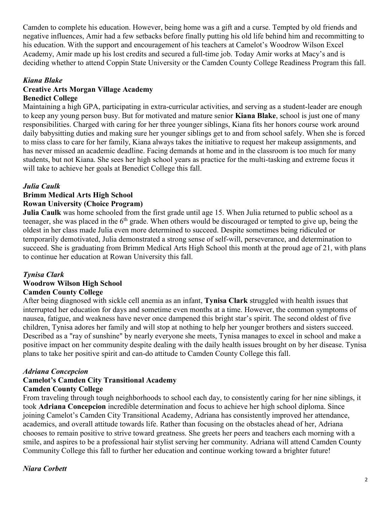Camden to complete his education. However, being home was a gift and a curse. Tempted by old friends and negative influences, Amir had a few setbacks before finally putting his old life behind him and recommitting to his education. With the support and encouragement of his teachers at Camelot's Woodrow Wilson Excel Academy, Amir made up his lost credits and secured a full-time job. Today Amir works at Macy's and is deciding whether to attend Coppin State University or the Camden County College Readiness Program this fall.

## *Kiana Blake*

#### **Creative Arts Morgan Village Academy Benedict College**

Maintaining a high GPA, participating in extra-curricular activities, and serving as a student-leader are enough to keep any young person busy. But for motivated and mature senior **Kiana Blake**, school is just one of many responsibilities. Charged with caring for her three younger siblings, Kiana fits her honors course work around daily babysitting duties and making sure her younger siblings get to and from school safely. When she is forced to miss class to care for her family, Kiana always takes the initiative to request her makeup assignments, and has never missed an academic deadline. Facing demands at home and in the classroom is too much for many students, but not Kiana. She sees her high school years as practice for the multi-tasking and extreme focus it will take to achieve her goals at Benedict College this fall.

## *Julia Caulk*

# **Brimm Medical Arts High School**

## **Rowan University (Choice Program)**

**Julia Caulk** was home schooled from the first grade until age 15. When Julia returned to public school as a teenager, she was placed in the 6<sup>th</sup> grade. When others would be discouraged or tempted to give up, being the oldest in her class made Julia even more determined to succeed. Despite sometimes being ridiculed or temporarily demotivated, Julia demonstrated a strong sense of self-will, perseverance, and determination to succeed. She is graduating from Brimm Medical Arts High School this month at the proud age of 21, with plans to continue her education at Rowan University this fall.

#### *Tynisa Clark*

#### **Woodrow Wilson High School Camden County College**

After being diagnosed with sickle cell anemia as an infant, **Tynisa Clark** struggled with health issues that interrupted her education for days and sometime even months at a time. However, the common symptoms of nausea, fatigue, and weakness have never once dampened this bright star's spirit. The second oldest of five children, Tynisa adores her family and will stop at nothing to help her younger brothers and sisters succeed. Described as a "ray of sunshine" by nearly everyone she meets, Tynisa manages to excel in school and make a positive impact on her community despite dealing with the daily health issues brought on by her disease. Tynisa plans to take her positive spirit and can-do attitude to Camden County College this fall.

#### *Adriana Concepcion*

#### **Camelot's Camden City Transitional Academy Camden County College**

From traveling through tough neighborhoods to school each day, to consistently caring for her nine siblings, it took **Adriana Concepcion** incredible determination and focus to achieve her high school diploma. Since joining Camelot's Camden City Transitional Academy, Adriana has consistently improved her attendance, academics, and overall attitude towards life. Rather than focusing on the obstacles ahead of her, Adriana chooses to remain positive to strive toward greatness. She greets her peers and teachers each morning with a smile, and aspires to be a professional hair stylist serving her community. Adriana will attend Camden County Community College this fall to further her education and continue working toward a brighter future!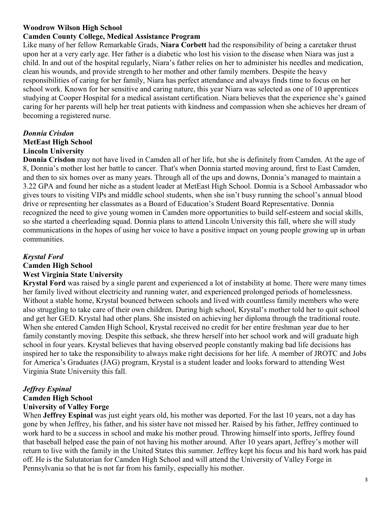## **Woodrow Wilson High School**

## **Camden County College, Medical Assistance Program**

Like many of her fellow Remarkable Grads, **Niara Corbett** had the responsibility of being a caretaker thrust upon her at a very early age. Her father is a diabetic who lost his vision to the disease when Niara was just a child. In and out of the hospital regularly, Niara's father relies on her to administer his needles and medication, clean his wounds, and provide strength to her mother and other family members. Despite the heavy responsibilities of caring for her family, Niara has perfect attendance and always finds time to focus on her school work. Known for her sensitive and caring nature, this year Niara was selected as one of 10 apprentices studying at Cooper Hospital for a medical assistant certification. Niara believes that the experience she's gained caring for her parents will help her treat patients with kindness and compassion when she achieves her dream of becoming a registered nurse.

## *Donnia Crisdon* **MetEast High School Lincoln University**

**Donnia Crisdon** may not have lived in Camden all of her life, but she is definitely from Camden. At the age of 8, Donnia's mother lost her battle to cancer. That's when Donnia started moving around, first to East Camden, and then to six homes over as many years. Through all of the ups and downs, Donnia's managed to maintain a 3.22 GPA and found her niche as a student leader at MetEast High School. Donnia is a School Ambassador who gives tours to visiting VIPs and middle school students, when she isn't busy running the school's annual blood drive or representing her classmates as a Board of Education's Student Board Representative. Donnia recognized the need to give young women in Camden more opportunities to build self-esteem and social skills, so she started a cheerleading squad. Donnia plans to attend Lincoln University this fall, where she will study communications in the hopes of using her voice to have a positive impact on young people growing up in urban communities.

#### *Krystal Ford*

## **Camden High School West Virginia State University**

**Krystal Ford** was raised by a single parent and experienced a lot of instability at home. There were many times her family lived without electricity and running water, and experienced prolonged periods of homelessness. Without a stable home, Krystal bounced between schools and lived with countless family members who were also struggling to take care of their own children. During high school, Krystal's mother told her to quit school and get her GED. Krystal had other plans. She insisted on achieving her diploma through the traditional route. When she entered Camden High School, Krystal received no credit for her entire freshman year due to her family constantly moving. Despite this setback, she threw herself into her school work and will graduate high school in four years. Krystal believes that having observed people constantly making bad life decisions has inspired her to take the responsibility to always make right decisions for her life. A member of JROTC and Jobs for America's Graduates (JAG) program, Krystal is a student leader and looks forward to attending West Virginia State University this fall.

#### *Jeffrey Espinal* **Camden High School University of Valley Forge**

When **Jeffrey Espinal** was just eight years old, his mother was deported. For the last 10 years, not a day has gone by when Jeffrey, his father, and his sister have not missed her. Raised by his father, Jeffrey continued to work hard to be a success in school and make his mother proud. Throwing himself into sports, Jeffrey found that baseball helped ease the pain of not having his mother around. After 10 years apart, Jeffrey's mother will return to live with the family in the United States this summer. Jeffrey kept his focus and his hard work has paid off. He is the Salutatorian for Camden High School and will attend the University of Valley Forge in Pennsylvania so that he is not far from his family, especially his mother.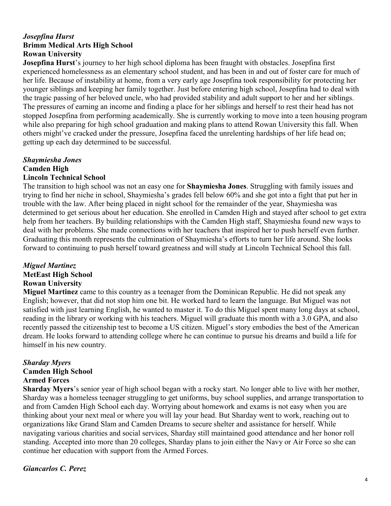## *Josepfina Hurst* **Brimm Medical Arts High School Rowan University**

**Josepfina Hurst**'s journey to her high school diploma has been fraught with obstacles. Josepfina first experienced homelessness as an elementary school student, and has been in and out of foster care for much of her life. Because of instability at home, from a very early age Josepfina took responsibility for protecting her younger siblings and keeping her family together. Just before entering high school, Josepfina had to deal with the tragic passing of her beloved uncle, who had provided stability and adult support to her and her siblings. The pressures of earning an income and finding a place for her siblings and herself to rest their head has not stopped Josepfina from performing academically. She is currently working to move into a teen housing program while also preparing for high school graduation and making plans to attend Rowan University this fall. When others might've cracked under the pressure, Josepfina faced the unrelenting hardships of her life head on; getting up each day determined to be successful.

# *Shaymiesha Jones* **Camden High**

## **Lincoln Technical School**

The transition to high school was not an easy one for **Shaymiesha Jones**. Struggling with family issues and trying to find her niche in school, Shaymiesha's grades fell below 60% and she got into a fight that put her in trouble with the law. After being placed in night school for the remainder of the year, Shaymiesha was determined to get serious about her education. She enrolled in Camden High and stayed after school to get extra help from her teachers. By building relationships with the Camden High staff, Shaymiesha found new ways to deal with her problems. She made connections with her teachers that inspired her to push herself even further. Graduating this month represents the culmination of Shaymiesha's efforts to turn her life around. She looks forward to continuing to push herself toward greatness and will study at Lincoln Technical School this fall.

## *Miguel Martinez*

**MetEast High School**

## **Rowan University**

**Miguel Martinez** came to this country as a teenager from the Dominican Republic. He did not speak any English; however, that did not stop him one bit. He worked hard to learn the language. But Miguel was not satisfied with just learning English, he wanted to master it. To do this Miguel spent many long days at school, reading in the library or working with his teachers. Miguel will graduate this month with a 3.0 GPA, and also recently passed the citizenship test to become a US citizen. Miguel's story embodies the best of the American dream. He looks forward to attending college where he can continue to pursue his dreams and build a life for himself in his new country.

## *Sharday Myers* **Camden High School Armed Forces**

**Sharday Myers**'s senior year of high school began with a rocky start. No longer able to live with her mother, Sharday was a homeless teenager struggling to get uniforms, buy school supplies, and arrange transportation to and from Camden High School each day. Worrying about homework and exams is not easy when you are thinking about your next meal or where you will lay your head. But Sharday went to work, reaching out to organizations like Grand Slam and Camden Dreams to secure shelter and assistance for herself. While navigating various charities and social services, Sharday still maintained good attendance and her honor roll standing. Accepted into more than 20 colleges, Sharday plans to join either the Navy or Air Force so she can continue her education with support from the Armed Forces.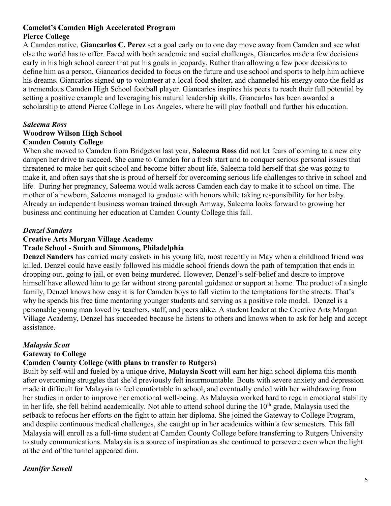## **Camelot's Camden High Accelerated Program Pierce College**

A Camden native, **Giancarlos C. Perez** set a goal early on to one day move away from Camden and see what else the world has to offer. Faced with both academic and social challenges, Giancarlos made a few decisions early in his high school career that put his goals in jeopardy. Rather than allowing a few poor decisions to define him as a person, Giancarlos decided to focus on the future and use school and sports to help him achieve his dreams. Giancarlos signed up to volunteer at a local food shelter, and channeled his energy onto the field as a tremendous Camden High School football player. Giancarlos inspires his peers to reach their full potential by setting a positive example and leveraging his natural leadership skills. Giancarlos has been awarded a scholarship to attend Pierce College in Los Angeles, where he will play football and further his education.

# *Saleema Ross*

#### **Woodrow Wilson High School Camden County College**

When she moved to Camden from Bridgeton last year, **Saleema Ross** did not let fears of coming to a new city dampen her drive to succeed. She came to Camden for a fresh start and to conquer serious personal issues that threatened to make her quit school and become bitter about life. Saleema told herself that she was going to make it, and often says that she is proud of herself for overcoming serious life challenges to thrive in school and life. During her pregnancy, Saleema would walk across Camden each day to make it to school on time. The mother of a newborn, Saleema managed to graduate with honors while taking responsibility for her baby. Already an independent business woman trained through Amway, Saleema looks forward to growing her business and continuing her education at Camden County College this fall.

## *Denzel Sanders*

## **Creative Arts Morgan Village Academy**

## **Trade School - Smith and Simmons, Philadelphia**

**Denzel Sanders** has carried many caskets in his young life, most recently in May when a childhood friend was killed. Denzel could have easily followed his middle school friends down the path of temptation that ends in dropping out, going to jail, or even being murdered. However, Denzel's self-belief and desire to improve himself have allowed him to go far without strong parental guidance or support at home. The product of a single family, Denzel knows how easy it is for Camden boys to fall victim to the temptations for the streets. That's why he spends his free time mentoring younger students and serving as a positive role model. Denzel is a personable young man loved by teachers, staff, and peers alike. A student leader at the Creative Arts Morgan Village Academy, Denzel has succeeded because he listens to others and knows when to ask for help and accept assistance.

## *Malaysia Scott*

## **Gateway to College**

# **Camden County College (with plans to transfer to Rutgers)**

Built by self-will and fueled by a unique drive, **Malaysia Scott** will earn her high school diploma this month after overcoming struggles that she'd previously felt insurmountable. Bouts with severe anxiety and depression made it difficult for Malaysia to feel comfortable in school, and eventually ended with her withdrawing from her studies in order to improve her emotional well-being. As Malaysia worked hard to regain emotional stability in her life, she fell behind academically. Not able to attend school during the  $10<sup>th</sup>$  grade, Malaysia used the setback to refocus her efforts on the fight to attain her diploma. She joined the Gateway to College Program, and despite continuous medical challenges, she caught up in her academics within a few semesters. This fall Malaysia will enroll as a full-time student at Camden County College before transferring to Rutgers University to study communications. Malaysia is a source of inspiration as she continued to persevere even when the light at the end of the tunnel appeared dim.

## *Jennifer Sewell*